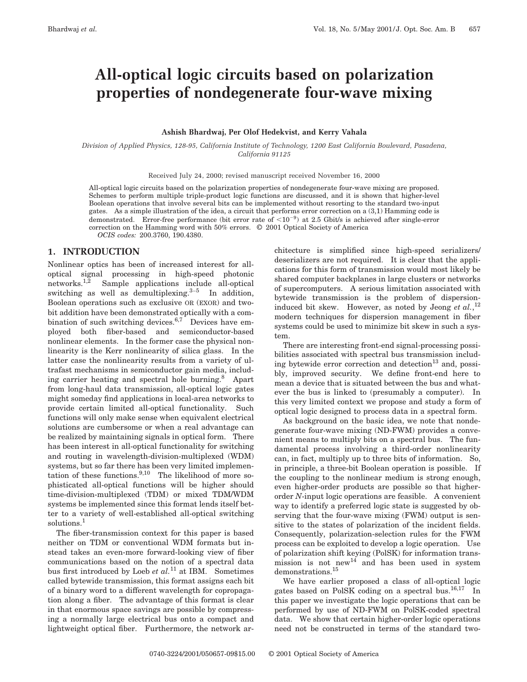# **All-optical logic circuits based on polarization properties of nondegenerate four-wave mixing**

## **Ashish Bhardwaj, Per Olof Hedekvist, and Kerry Vahala**

*Division of Applied Physics, 128-95, California Institute of Technology, 1200 East California Boulevard, Pasadena, California 91125*

Received July 24, 2000; revised manuscript received November 16, 2000

All-optical logic circuits based on the polarization properties of nondegenerate four-wave mixing are proposed. Schemes to perform multiple triple-product logic functions are discussed, and it is shown that higher-level Boolean operations that involve several bits can be implemented without resorting to the standard two-input gates. As a simple illustration of the idea, a circuit that performs error correction on a (3,1) Hamming code is demonstrated. Error-free performance (bit error rate of  $\langle 10^{-9} \rangle$  at 2.5 Gbit/s is achieved after single-error correction on the Hamming word with 50% errors. © 2001 Optical Society of America *OCIS codes:* 200.3760, 190.4380.

## **1. INTRODUCTION**

Nonlinear optics has been of increased interest for alloptical signal processing in high-speed photonic networks.1,2 Sample applications include all-optical switching as well as demultiplexing. $3-5$  In addition, Boolean operations such as exclusive OR (EXOR) and twobit addition have been demonstrated optically with a combination of such switching devices.<sup>6,7</sup> Devices have employed both fiber-based and semiconductor-based nonlinear elements. In the former case the physical nonlinearity is the Kerr nonlinearity of silica glass. In the latter case the nonlinearity results from a variety of ultrafast mechanisms in semiconductor gain media, including carrier heating and spectral hole burning.<sup>8</sup> Apart from long-haul data transmission, all-optical logic gates might someday find applications in local-area networks to provide certain limited all-optical functionality. Such functions will only make sense when equivalent electrical solutions are cumbersome or when a real advantage can be realized by maintaining signals in optical form. There has been interest in all-optical functionality for switching and routing in wavelength-division-multiplexed (WDM) systems, but so far there has been very limited implementation of these functions. $9,10$  The likelihood of more sophisticated all-optical functions will be higher should time-division-multiplexed (TDM) or mixed TDM/WDM systems be implemented since this format lends itself better to a variety of well-established all-optical switching solutions.<sup>1</sup>

The fiber-transmission context for this paper is based neither on TDM or conventional WDM formats but instead takes an even-more forward-looking view of fiber communications based on the notion of a spectral data bus first introduced by Loeb *et al.*<sup>11</sup> at IBM. Sometimes called bytewide transmission, this format assigns each bit of a binary word to a different wavelength for copropagation along a fiber. The advantage of this format is clear in that enormous space savings are possible by compressing a normally large electrical bus onto a compact and lightweight optical fiber. Furthermore, the network architecture is simplified since high-speed serializers/ deserializers are not required. It is clear that the applications for this form of transmission would most likely be shared computer backplanes in large clusters or networks of supercomputers. A serious limitation associated with bytewide transmission is the problem of dispersioninduced bit skew. However, as noted by Jeong *et al.*, 12 modern techniques for dispersion management in fiber systems could be used to minimize bit skew in such a system.

There are interesting front-end signal-processing possibilities associated with spectral bus transmission including bytewide error correction and detection $^{13}$  and, possibly, improved security. We define front-end here to mean a device that is situated between the bus and whatever the bus is linked to (presumably a computer). In this very limited context we propose and study a form of optical logic designed to process data in a spectral form.

As background on the basic idea, we note that nondegenerate four-wave mixing (ND-FWM) provides a convenient means to multiply bits on a spectral bus. The fundamental process involving a third-order nonlinearity can, in fact, multiply up to three bits of information. So, in principle, a three-bit Boolean operation is possible. If the coupling to the nonlinear medium is strong enough, even higher-order products are possible so that higherorder *N*-input logic operations are feasible. A convenient way to identify a preferred logic state is suggested by observing that the four-wave mixing (FWM) output is sensitive to the states of polarization of the incident fields. Consequently, polarization-selection rules for the FWM process can be exploited to develop a logic operation. Use of polarization shift keying (PolSK) for information transmission is not new<sup>14</sup> and has been used in system  $\rm{demonstrations.}^{15}$ 

We have earlier proposed a class of all-optical logic gates based on PolSK coding on a spectral bus.16,17 In this paper we investigate the logic operations that can be performed by use of ND-FWM on PolSK-coded spectral data. We show that certain higher-order logic operations need not be constructed in terms of the standard two-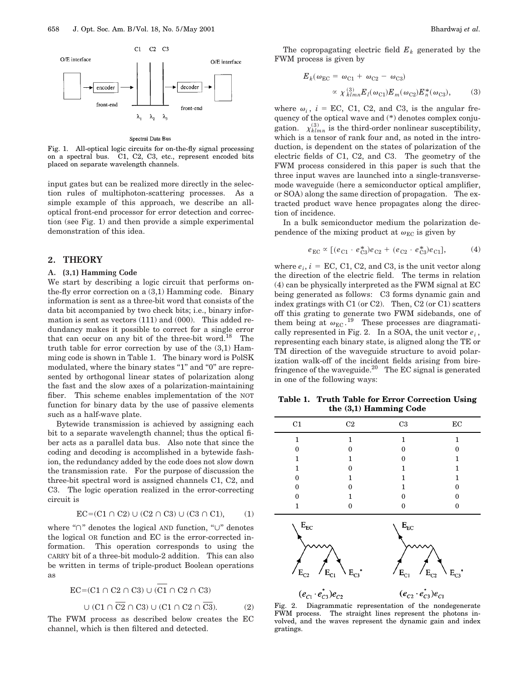

#### Spectral Data Bus

Fig. 1. All-optical logic circuits for on-the-fly signal processing on a spectral bus. C1, C2, C3, etc., represent encoded bits placed on separate wavelength channels.

input gates but can be realized more directly in the selection rules of multiphoton-scattering processes. As a simple example of this approach, we describe an alloptical front-end processor for error detection and correction (see Fig. 1) and then provide a simple experimental demonstration of this idea.

## **2. THEORY**

## **A. (3,1) Hamming Code**

We start by describing a logic circuit that performs onthe-fly error correction on a (3,1) Hamming code. Binary information is sent as a three-bit word that consists of the data bit accompanied by two check bits; i.e., binary information is sent as vectors (111) and (000). This added redundancy makes it possible to correct for a single error that can occur on any bit of the three-bit word.<sup>18</sup> The truth table for error correction by use of the (3,1) Hamming code is shown in Table 1. The binary word is PolSK modulated, where the binary states "1" and "0" are represented by orthogonal linear states of polarization along the fast and the slow axes of a polarization-maintaining fiber. This scheme enables implementation of the NOT function for binary data by the use of passive elements such as a half-wave plate.

Bytewide transmission is achieved by assigning each bit to a separate wavelength channel; thus the optical fiber acts as a parallel data bus. Also note that since the coding and decoding is accomplished in a bytewide fashion, the redundancy added by the code does not slow down the transmission rate. For the purpose of discussion the three-bit spectral word is assigned channels C1, C2, and C3. The logic operation realized in the error-correcting circuit is

$$
EC = (C1 \cap C2) \cup (C2 \cap C3) \cup (C3 \cap C1), \tag{1}
$$

where " $\cap$ " denotes the logical AND function, " $\cup$ " denotes the logical OR function and EC is the error-corrected information. This operation corresponds to using the CARRY bit of a three-bit modulo-2 addition. This can also be written in terms of triple-product Boolean operations as

$$
EC = (C1 \cap C2 \cap C3) \cup (\overline{C1} \cap C2 \cap C3)
$$
  
 
$$
\cup (C1 \cap \overline{C2} \cap C3) \cup (C1 \cap C2 \cap \overline{C3}).
$$
 (2)

The FWM process as described below creates the EC channel, which is then filtered and detected.

The copropagating electric field  $E_k$  generated by the FWM process is given by

$$
E_k(\omega_{\rm EC} = \omega_{\rm C1} + \omega_{\rm C2} - \omega_{\rm C3})
$$

$$
\propto \chi_{klmn}^{(3)} E_l(\omega_{\rm C1}) E_m(\omega_{\rm C2}) E_n^*(\omega_{\rm C3}), \qquad (3)
$$

where  $\omega_i$ ,  $i = EC$ , C1, C2, and C3, is the angular frequency of the optical wave and (\*) denotes complex conjugation.  $\chi_{klmn}^{(3)}$  is the third-order nonlinear susceptibility, which is a tensor of rank four and, as noted in the introduction, is dependent on the states of polarization of the electric fields of C1, C2, and C3. The geometry of the FWM process considered in this paper is such that the three input waves are launched into a single-transversemode waveguide (here a semiconductor optical amplifier, or SOA) along the same direction of propagation. The extracted product wave hence propagates along the direction of incidence.

In a bulk semiconductor medium the polarization dependence of the mixing product at  $\omega_{EC}$  is given by

$$
e_{\rm EC} \propto [(e_{\rm C1} \cdot e_{\rm C3}^*) e_{\rm C2} + (e_{\rm C2} \cdot e_{\rm C3}^*) e_{\rm C1}], \tag{4}
$$

where  $e_i$ ,  $i = EC$ , C1, C2, and C3, is the unit vector along the direction of the electric field. The terms in relation (4) can be physically interpreted as the FWM signal at EC being generated as follows: C3 forms dynamic gain and index gratings with C1 (or C2). Then, C2 (or C1) scatters off this grating to generate two FWM sidebands, one of them being at  $\omega_{EC}$ .<sup>19</sup> These processes are diagramatically represented in Fig. 2. In a SOA, the unit vector  $e_i$ , representing each binary state, is aligned along the TE or TM direction of the waveguide structure to avoid polarization walk-off of the incident fields arising from birefringence of the waveguide.<sup>20</sup> The EC signal is generated in one of the following ways:

**Table 1. Truth Table for Error Correction Using the (3,1) Hamming Code**

| $\rm C1$     | C2 | C <sub>3</sub>           | $\operatorname{EC}$ |
|--------------|----|--------------------------|---------------------|
| 1            | 1  | 1                        | 1                   |
| $\Omega$     | O  | $\Omega$                 | O                   |
| 1            |    | ∩                        |                     |
| 1            | 0  | 1                        |                     |
| $\Omega$     |    |                          |                     |
| $\Omega$     | 0  |                          | 0                   |
| $\Omega$     |    | 0                        |                     |
| 1            | 0  | 0                        | 0                   |
| $\rm E_{EC}$ |    | $\mathbf{E}_{\text{EC}}$ |                     |



Fig. 2. Diagrammatic representation of the nondegenerate FWM process. The straight lines represent the photons involved, and the waves represent the dynamic gain and index gratings.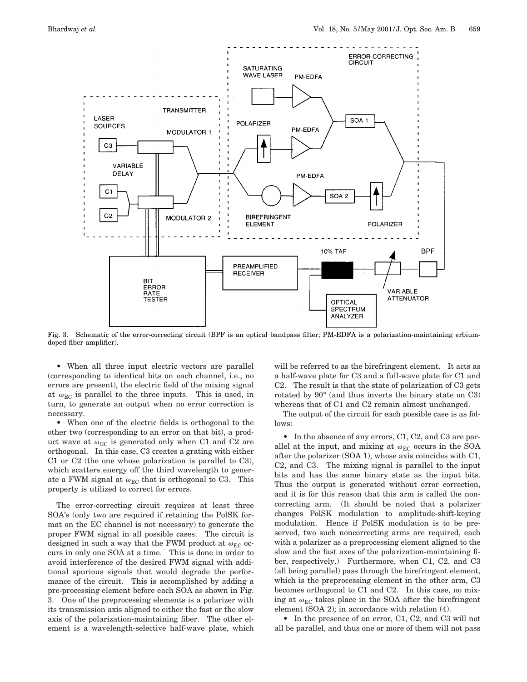

Fig. 3. Schematic of the error-correcting circuit (BPF is an optical bandpass filter; PM-EDFA is a polarization-maintaining erbiumdoped fiber amplifier).

• When all three input electric vectors are parallel (corresponding to identical bits on each channel, i.e., no errors are present), the electric field of the mixing signal at  $\omega_{\rm EC}$  is parallel to the three inputs. This is used, in turn, to generate an output when no error correction is necessary.

• When one of the electric fields is orthogonal to the other two (corresponding to an error on that bit), a product wave at  $\omega_{\rm EC}$  is generated only when C1 and C2 are orthogonal. In this case, C3 creates a grating with either C1 or C2 (the one whose polarization is parallel to C3), which scatters energy off the third wavelength to generate a FWM signal at  $\omega_{EC}$  that is orthogonal to C3. This property is utilized to correct for errors.

The error-correcting circuit requires at least three SOA's (only two are required if retaining the PolSK format on the EC channel is not necessary) to generate the proper FWM signal in all possible cases. The circuit is designed in such a way that the FWM product at  $\omega_{EC}$  occurs in only one SOA at a time. This is done in order to avoid interference of the desired FWM signal with additional spurious signals that would degrade the performance of the circuit. This is accomplished by adding a pre-processing element before each SOA as shown in Fig. 3. One of the preprocessing elements is a polarizer with its transmission axis aligned to either the fast or the slow axis of the polarization-maintaining fiber. The other element is a wavelength-selective half-wave plate, which

will be referred to as the birefringent element. It acts as a half-wave plate for C3 and a full-wave plate for C1 and C2. The result is that the state of polarization of C3 gets rotated by 90° (and thus inverts the binary state on C3) whereas that of C1 and C2 remain almost unchanged.

The output of the circuit for each possible case is as follows:

• In the absence of any errors, C1, C2, and C3 are parallel at the input, and mixing at  $\omega_{EC}$  occurs in the SOA after the polarizer (SOA 1), whose axis coincides with C1, C2, and C3. The mixing signal is parallel to the input bits and has the same binary state as the input bits. Thus the output is generated without error correction, and it is for this reason that this arm is called the noncorrecting arm. (It should be noted that a polarizer changes PolSK modulation to amplitude-shift-keying modulation. Hence if PolSK modulation is to be preserved, two such noncorrecting arms are required, each with a polarizer as a preprocessing element aligned to the slow and the fast axes of the polarization-maintaining fiber, respectively.) Furthermore, when C1, C2, and C3 (all being parallel) pass through the birefringent element, which is the preprocessing element in the other arm, C3 becomes orthogonal to C1 and C2. In this case, no mixing at  $\omega_{EC}$  takes place in the SOA after the birefringent element (SOA 2); in accordance with relation (4).

• In the presence of an error, C1, C2, and C3 will not all be parallel, and thus one or more of them will not pass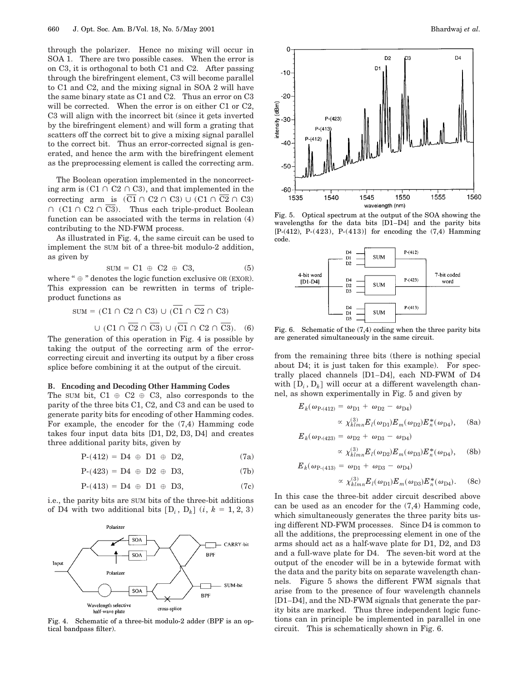through the polarizer. Hence no mixing will occur in SOA 1. There are two possible cases. When the error is on C3, it is orthogonal to both C1 and C2. After passing through the birefringent element, C3 will become parallel to C1 and C2, and the mixing signal in SOA 2 will have the same binary state as C1 and C2. Thus an error on C3 will be corrected. When the error is on either C1 or C2, C3 will align with the incorrect bit (since it gets inverted by the birefringent element) and will form a grating that scatters off the correct bit to give a mixing signal parallel to the correct bit. Thus an error-corrected signal is generated, and hence the arm with the birefringent element as the preprocessing element is called the correcting arm.

The Boolean operation implemented in the noncorrecting arm is  $(C1 \cap C2 \cap C3)$ , and that implemented in the correcting arm is  $(\overline{C1} \cap C2 \cap C3) \cup (C1 \cap \overline{C2} \cap C3)$  $\cap$  (C1  $\cap$  C2  $\cap$  C3). Thus each triple-product Boolean function can be associated with the terms in relation (4) contributing to the ND-FWM process.

As illustrated in Fig. 4, the same circuit can be used to implement the SUM bit of a three-bit modulo-2 addition, as given by

$$
SUM = C1 \oplus C2 \oplus C3, \tag{5}
$$

where " $\oplus$ " denotes the logic function exclusive OR (EXOR). This expression can be rewritten in terms of tripleproduct functions as

$$
SUM = (C1 \cap C2 \cap C3) \cup (C1 \cap C2 \cap C3)
$$

$$
\cup (C1 \cap C2 \cap C3) \cup (C1 \cap C2 \cap C3). (6)
$$

The generation of this operation in Fig. 4 is possible by taking the output of the correcting arm of the errorcorrecting circuit and inverting its output by a fiber cross splice before combining it at the output of the circuit.

#### **B. Encoding and Decoding Other Hamming Codes**

The SUM bit,  $C1 \oplus C2 \oplus C3$ , also corresponds to the parity of the three bits C1, C2, and C3 and can be used to generate parity bits for encoding of other Hamming codes. For example, the encoder for the (7,4) Hamming code takes four input data bits [D1, D2, D3, D4] and creates three additional parity bits, given by

$$
P-(412) = D4 \oplus D1 \oplus D2,
$$
 (7a)

$$
P-(423) = D4 \oplus D2 \oplus D3,
$$
 (7b)

$$
P-(413) = D4 \oplus D1 \oplus D3,
$$
 (7c)

i.e., the parity bits are SUM bits of the three-bit additions of D4 with two additional bits  $[D_i, D_k]$  (*i*,  $k = 1, 2, 3$ )



Fig. 4. Schematic of a three-bit modulo-2 adder (BPF is an optical bandpass filter).



Fig. 5. Optical spectrum at the output of the SOA showing the wavelengths for the data bits [D1–D4] and the parity bits [P-(412), P-(423), P-(413)] for encoding the (7,4) Hamming code.



Fig. 6. Schematic of the (7,4) coding when the three parity bits are generated simultaneously in the same circuit.

from the remaining three bits (there is nothing special about D4; it is just taken for this example). For spectrally placed channels [D1–D4], each ND-FWM of D4 with  $[D_i, D_k]$  will occur at a different wavelength channel, as shown experimentally in Fig. 5 and given by

$$
E_k(\omega_{\text{P}-(412)} = \omega_{\text{D1}} + \omega_{\text{D2}} - \omega_{\text{D4}})
$$
  
 
$$
\propto \chi_{klmn}^{(3)} E_l(\omega_{\text{D1}}) E_m(\omega_{\text{D2}}) E_n^*(\omega_{\text{D4}}), \quad (8a)
$$

$$
E_k(\omega_{\text{P-(423)}} = \omega_{\text{D2}} + \omega_{\text{D3}} - \omega_{\text{D4}})
$$

$$
\propto \chi_{klmn}^{(3)} E_l(\omega_{\text{D2}}) E_m(\omega_{\text{D3}}) E_n^*(\omega_{\text{D4}}), \quad (8b)
$$

 $E_k(\omega_{\text{P-}(413)} = \omega_{\text{D1}} + \omega_{\text{D3}} - \omega_{\text{D4}})$  $\propto \chi_{klmn}^{(3)} E_l(\omega_{\text{D1}}) E_m(\omega_{\text{D3}}) E_n^*(\omega_{\text{D4}}).$  (8c)

In this case the three-bit adder circuit described above can be used as an encoder for the (7,4) Hamming code, which simultaneously generates the three parity bits using different ND-FWM processes. Since D4 is common to all the additions, the preprocessing element in one of the arms should act as a half-wave plate for D1, D2, and D3 and a full-wave plate for D4. The seven-bit word at the output of the encoder will be in a bytewide format with the data and the parity bits on separate wavelength channels. Figure 5 shows the different FWM signals that arise from to the presence of four wavelength channels [D1–D4], and the ND-FWM signals that generate the parity bits are marked. Thus three independent logic functions can in principle be implemented in parallel in one circuit. This is schematically shown in Fig. 6.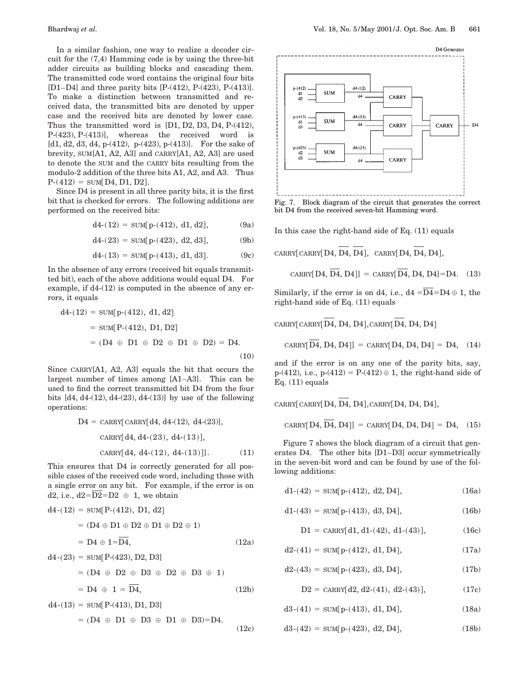In a similar fashion, one way to realize a decoder circuit for the (7,4) Hamming code is by using the three-bit adder circuits as building blocks and cascading them. The transmitted code word contains the original four bits [D1–D4] and three parity bits [P-(412), P-(423), P-(413)]. To make a distinction between transmitted and received data, the transmitted bits are denoted by upper case and the received bits are denoted by lower case. Thus the transmitted word is [D1, D2, D3, D4, P-(412), P-(423), P-(413)], whereas the received word is [d1, d2, d3, d4, p-(412), p-(423), p-(413)]. For the sake of brevity, SUM[A1, A2, A3] and CARRY[A1, A2, A3] are used to denote the SUM and the CARRY bits resulting from the modulo-2 addition of the three bits A1, A2, and A3. Thus  $P-(412) = SUM[D4, D1, D2].$ 

Since D4 is present in all three parity bits, it is the first bit that is checked for errors. The following additions are performed on the received bits:

$$
d4-(12) = \text{SUM}[p-(412), d1, d2], \tag{9a}
$$

$$
d4-(23) = \text{SUM}[p-(423), d2, d3], \tag{9b}
$$

$$
d4-(13) = \text{SUM}[p-(413), d1, d3]. \tag{9c}
$$

In the absence of any errors (received bit equals transmitted bit), each of the above additions would equal D4. For example, if d4-(12) is computed in the absence of any errors, it equals

$$
d4-(12) = \text{SUM}[p-(412), d1, d2]
$$
  
= sum[P-(412), D1, D2]  
= (D4  $\oplus$  D1  $\oplus$  D2  $\oplus$  D1  $\oplus$  D2) = D4.  
(10)

Since CARRY[A1, A2, A3] equals the bit that occurs the largest number of times among [A1–A3]. This can be used to find the correct transmitted bit D4 from the four bits  $[d4, d4-(12), d4-(23), d4-(13)]$  by use of the following operations:

$$
D4 = \text{CARRY}[\text{CARRY}[d4, d4-(12), d4-(23)],
$$
  
 
$$
\text{CARRY}[d4, d4-(23), d4-(13)],
$$
  
 
$$
\text{CARRY}[d4, d4-(12), d4-(13)]].
$$
 (11)

This ensures that D4 is correctly generated for all possible cases of the received code word, including those with a single error on any bit. For example, if the error is on d2, i.e.,  $d2=\overline{D2}=D2 \oplus 1$ , we obtain

$$
d4-(12) = \text{SUM}[P-(412), D1, d2]
$$
  
= (D4  $\oplus$  D1  $\oplus$  D2  $\oplus$  D1  $\oplus$  D2  $\oplus$  1)  
= D4  $\oplus$  1= $\overline{D4}$ , (12a)  

$$
d4-(23) = \text{SUM}[P-(423), D2, D3]
$$

$$
= (D4 \oplus D2 \oplus D3 \oplus D2 \oplus D3 \oplus 1)
$$

$$
= D4 \oplus 1 = \overline{D4}, \qquad (12b)
$$

$$
d4-(13) = \text{SUM}[P-(413), D1, D3]
$$

$$
= (\text{D4} \oplus \text{D1} \oplus \text{D3} \oplus \text{D1} \oplus \text{D3}) = \text{D4}.
$$
 (12c)



Fig. 7. Block diagram of the circuit that generates the correct bit D4 from the received seven-bit Hamming word.

In this case the right-hand side of Eq. (11) equals

 $CARRY[CARRY[D4, D4, D4], CARRY[D4, D4, D4],$ 

$$
CARRY[D4, D4, D4]] = CARRY[D4, D4, D4] = D4. (13)
$$

Similarly, if the error is on d4, i.e.,  $d4 = \overline{D4} = D4 \oplus 1$ , the right-hand side of Eq. (11) equals

 $CART[CARRY[D4, D4, D4], CARRY[D4, D4, D4]]$ 

$$
CARRY[\overline{D4}, D4, D4]] = CARRY[D4, D4, D4] = D4, (14)
$$

and if the error is on any one of the parity bits, say,  $p-(412)$ , i.e.,  $p-(412) = P-(412) \oplus 1$ , the right-hand side of Eq. (11) equals

 $CARRY[CARRY[D4, D4, D4], CARRY[D4, D4, D4],$ 

$$
CARRY[D4, D4, D4]] = CARRY[D4, D4, D4] = D4, (15)
$$

Figure 7 shows the block diagram of a circuit that generates D4. The other bits [D1–D3] occur symmetrically in the seven-bit word and can be found by use of the following additions:

$$
d1-(42) = SUM[p-(412), d2, D4], \t(16a)
$$

$$
d1-(43) = \text{SUM}[p-(413), d3, D4], \tag{16b}
$$

$$
D1 = \text{CARRY[d1, d1-(42), d1-(43)], \qquad (16c)
$$

$$
d2-(41) = \text{SUM}[p-(412), d1, D4], \tag{17a}
$$

$$
d2-(43) = \text{SUM}[p-(423), d3, D4], \tag{17b}
$$

$$
D2 = \text{CARRY}[d2, d2-(41), d2-(43)], \tag{17c}
$$

$$
d3-(41) = SUM[p-(413), d1, D4], \t(18a)
$$

$$
d3-(42) = \text{SUM}[p-(423), d2, D4], \tag{18b}
$$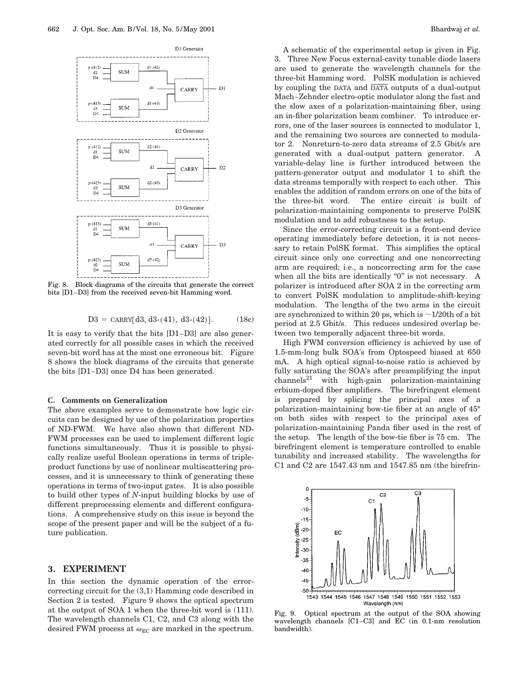

Fig. 8. Block diagrams of the circuits that generate the correct bits [D1–D3] from the received seven-bit Hamming word.

$$
D3 = \text{CARRY}[d3, d3-(41), d3-(42)]. \tag{18c}
$$

It is easy to verify that the bits [D1–D3] are also generated correctly for all possible cases in which the received seven-bit word has at the most one erroneous bit. Figure 8 shows the block diagrams of the circuits that generate the bits [D1–D3] once D4 has been generated.

#### **C. Comments on Generalization**

The above examples serve to demonstrate how logic circuits can be designed by use of the polarization properties of ND-FWM. We have also shown that different ND-FWM processes can be used to implement different logic functions simultaneously. Thus it is possible to physically realize useful Boolean operations in terms of tripleproduct functions by use of nonlinear multiscattering processes, and it is unnecessary to think of generating these operations in terms of two-input gates. It is also possible to build other types of *N*-input building blocks by use of different preprocessing elements and different configurations. A comprehensive study on this issue is beyond the scope of the present paper and will be the subject of a future publication.

# **3. EXPERIMENT**

In this section the dynamic operation of the errorcorrecting circuit for the (3,1) Hamming code described in Section 2 is tested. Figure 9 shows the optical spectrum at the output of SOA 1 when the three-bit word is (111). The wavelength channels C1, C2, and C3 along with the desired FWM process at  $\omega_{EC}$  are marked in the spectrum.

A schematic of the experimental setup is given in Fig. 3. Three New Focus external-cavity tunable diode lasers are used to generate the wavelength channels for the three-bit Hamming word. PolSK modulation is achieved by coupling the DATA and  $\overline{\text{DATA}}$  outputs of a dual-output Mach–Zehnder electro-optic modulator along the fast and the slow axes of a polarization-maintaining fiber, using an in-fiber polarization beam combiner. To introduce errors, one of the laser sources is connected to modulator 1, and the remaining two sources are connected to modulator 2. Nonreturn-to-zero data streams of 2.5 Gbit/s are generated with a dual-output pattern generator. A variable-delay line is further introduced between the pattern-generator output and modulator 1 to shift the data streams temporally with respect to each other. This enables the addition of random errors on one of the bits of the three-bit word. The entire circuit is built of polarization-maintaining components to preserve PolSK modulation and to add robustness to the setup.

Since the error-correcting circuit is a front-end device operating immediately before detection, it is not necessary to retain PolSK format. This simplifies the optical circuit since only one correcting and one noncorrecting arm are required; i.e., a noncorrecting arm for the case when all the bits are identically "0" is not necessary. A polarizer is introduced after SOA 2 in the correcting arm to convert PolSK modulation to amplitude-shift-keying modulation. The lengths of the two arms in the circuit are synchronized to within 20 ps, which is  $\sim$ 1/20th of a bit period at 2.5 Gbit/s. This reduces undesired overlap between two temporally adjacent three-bit words.

High FWM conversion efficiency is achieved by use of 1.5-mm-long bulk SOA's from Optospeed biased at 650 mA. A high optical signal-to-noise ratio is achieved by fully saturating the SOA's after preamplifying the input  $\text{channels}^{21}$  with high-gain polarization-maintaining erbium-doped fiber amplifiers. The birefringent element is prepared by splicing the principal axes of a polarization-maintaining bow-tie fiber at an angle of 45° on both sides with respect to the principal axes of polarization-maintaining Panda fiber used in the rest of the setup. The length of the bow-tie fiber is 75 cm. The birefringent element is temperature controlled to enable tunability and increased stability. The wavelengths for C1 and C2 are 1547.43 nm and 1547.85 nm (the birefrin-



Fig. 9. Optical spectrum at the output of the SOA showing wavelength channels [C1–C3] and EC (in 0.1-nm resolution bandwidth).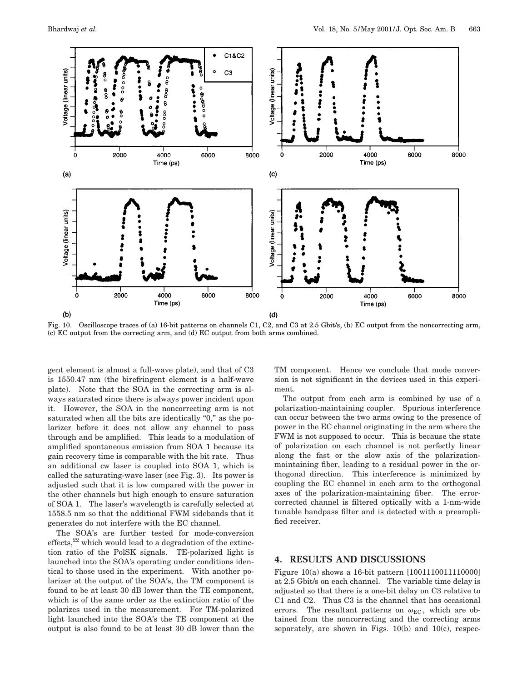

Fig. 10. Oscilloscope traces of (a) 16-bit patterns on channels C1, C2, and C3 at 2.5 Gbit/s, (b) EC output from the noncorrecting arm, (c) EC output from the correcting arm, and (d) EC output from both arms combined.

gent element is almost a full-wave plate), and that of C3 is 1550.47 nm (the birefringent element is a half-wave plate). Note that the SOA in the correcting arm is always saturated since there is always power incident upon it. However, the SOA in the noncorrecting arm is not saturated when all the bits are identically "0," as the polarizer before it does not allow any channel to pass through and be amplified. This leads to a modulation of amplified spontaneous emission from SOA 1 because its gain recovery time is comparable with the bit rate. Thus an additional cw laser is coupled into SOA 1, which is called the saturating-wave laser (see Fig. 3). Its power is adjusted such that it is low compared with the power in the other channels but high enough to ensure saturation of SOA 1. The laser's wavelength is carefully selected at 1558.5 nm so that the additional FWM sidebands that it generates do not interfere with the EC channel.

The SOA's are further tested for mode-conversion effects, $22$  which would lead to a degradation of the extinction ratio of the PolSK signals. TE-polarized light is launched into the SOA's operating under conditions identical to those used in the experiment. With another polarizer at the output of the SOA's, the TM component is found to be at least 30 dB lower than the TE component, which is of the same order as the extinction ratio of the polarizes used in the measurement. For TM-polarized light launched into the SOA's the TE component at the output is also found to be at least 30 dB lower than the

TM component. Hence we conclude that mode conversion is not significant in the devices used in this experiment.

The output from each arm is combined by use of a polarization-maintaining coupler. Spurious interference can occur between the two arms owing to the presence of power in the EC channel originating in the arm where the FWM is not supposed to occur. This is because the state of polarization on each channel is not perfectly linear along the fast or the slow axis of the polarizationmaintaining fiber, leading to a residual power in the orthogonal direction. This interference is minimized by coupling the EC channel in each arm to the orthogonal axes of the polarization-maintaining fiber. The errorcorrected channel is filtered optically with a 1-nm-wide tunable bandpass filter and is detected with a preamplified receiver.

# **4. RESULTS AND DISCUSSIONS**

Figure 10(a) shows a 16-bit pattern [1001110011110000] at 2.5 Gbit/s on each channel. The variable time delay is adjusted so that there is a one-bit delay on C3 relative to C1 and C2. Thus C3 is the channel that has occasional errors. The resultant patterns on  $\omega_{EC}$ , which are obtained from the noncorrecting and the correcting arms separately, are shown in Figs. 10(b) and 10(c), respec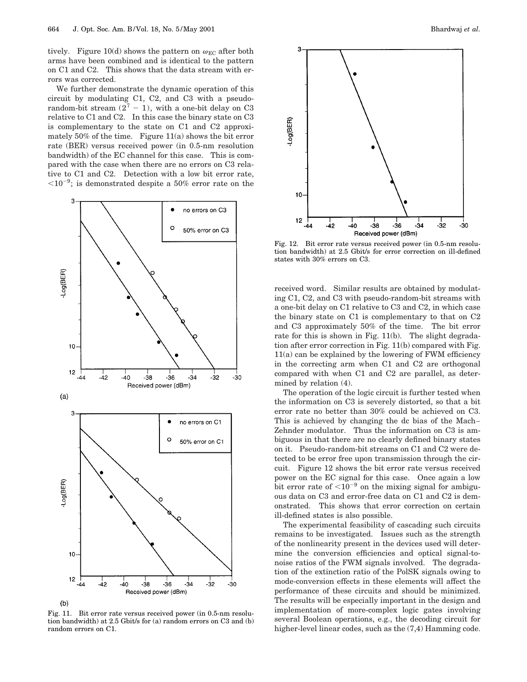tively. Figure 10(d) shows the pattern on  $\omega_{EC}$  after both arms have been combined and is identical to the pattern on C1 and C2. This shows that the data stream with errors was corrected.

We further demonstrate the dynamic operation of this circuit by modulating C1, C2, and C3 with a pseudorandom-bit stream  $(2<sup>7</sup> - 1)$ , with a one-bit delay on C3 relative to C1 and C2. In this case the binary state on C3 is complementary to the state on C1 and C2 approximately 50% of the time. Figure 11(a) shows the bit error rate (BER) versus received power (in 0.5-nm resolution bandwidth) of the EC channel for this case. This is compared with the case when there are no errors on C3 relative to C1 and C2. Detection with a low bit error rate,  $<$  10<sup>-9</sup>; is demonstrated despite a 50% error rate on the



Fig. 11. Bit error rate versus received power (in 0.5-nm resolution bandwidth) at 2.5 Gbit/s for (a) random errors on C3 and (b) random errors on C1.



Fig. 12. Bit error rate versus received power (in 0.5-nm resolution bandwidth) at 2.5 Gbit/s for error correction on ill-defined states with 30% errors on C3.

received word. Similar results are obtained by modulating C1, C2, and C3 with pseudo-random-bit streams with a one-bit delay on C1 relative to C3 and C2, in which case the binary state on C1 is complementary to that on C2 and C3 approximately 50% of the time. The bit error rate for this is shown in Fig. 11(b). The slight degradation after error correction in Fig. 11(b) compared with Fig. 11(a) can be explained by the lowering of FWM efficiency in the correcting arm when C1 and C2 are orthogonal compared with when C1 and C2 are parallel, as determined by relation (4).

The operation of the logic circuit is further tested when the information on C3 is severely distorted, so that a bit error rate no better than 30% could be achieved on C3. This is achieved by changing the dc bias of the Mach– Zehnder modulator. Thus the information on C3 is ambiguous in that there are no clearly defined binary states on it. Pseudo-random-bit streams on C1 and C2 were detected to be error free upon transmission through the circuit. Figure 12 shows the bit error rate versus received power on the EC signal for this case. Once again a low bit error rate of  $\leq 10^{-9}$  on the mixing signal for ambiguous data on C3 and error-free data on C1 and C2 is demonstrated. This shows that error correction on certain ill-defined states is also possible.

The experimental feasibility of cascading such circuits remains to be investigated. Issues such as the strength of the nonlinearity present in the devices used will determine the conversion efficiencies and optical signal-tonoise ratios of the FWM signals involved. The degradation of the extinction ratio of the PolSK signals owing to mode-conversion effects in these elements will affect the performance of these circuits and should be minimized. The results will be especially important in the design and implementation of more-complex logic gates involving several Boolean operations, e.g., the decoding circuit for higher-level linear codes, such as the  $(7,4)$  Hamming code.